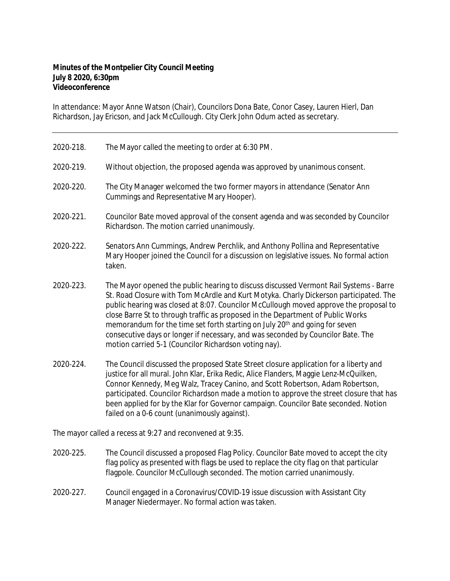## **Minutes of the Montpelier City Council Meeting July 8 2020, 6:30pm Videoconference**

In attendance: Mayor Anne Watson (Chair), Councilors Dona Bate, Conor Casey, Lauren Hierl, Dan Richardson, Jay Ericson, and Jack McCullough. City Clerk John Odum acted as secretary.

- 2020‐218. The Mayor called the meeting to order at 6:30 PM.
- 2020‐219. Without objection, the proposed agenda was approved by unanimous consent.
- 2020‐220. The City Manager welcomed the two former mayors in attendance (Senator Ann Cummings and Representative Mary Hooper).
- 2020‐221. Councilor Bate moved approval of the consent agenda and was seconded by Councilor Richardson. The motion carried unanimously.
- 2020-222. Senators Ann Cummings, Andrew Perchlik, and Anthony Pollina and Representative Mary Hooper joined the Council for a discussion on legislative issues. No formal action taken.
- 2020‐223. The Mayor opened the public hearing to discuss discussed Vermont Rail Systems ‐ Barre St. Road Closure with Tom McArdle and Kurt Motyka. Charly Dickerson participated. The public hearing was closed at 8:07. Councilor McCullough moved approve the proposal to close Barre St to through traffic as proposed in the Department of Public Works memorandum for the time set forth starting on July 20<sup>th</sup> and going for seven consecutive days or longer if necessary, and was seconded by Councilor Bate. The motion carried 5-1 (Councilor Richardson voting nay).
- 2020‐224. The Council discussed the proposed State Street closure application for a liberty and justice for all mural. John Klar, Erika Redic, Alice Flanders, Maggie Lenz-McQuilken, Connor Kennedy, Meg Walz, Tracey Canino, and Scott Robertson, Adam Robertson, participated. Councilor Richardson made a motion to approve the street closure that has been applied for by the Klar for Governor campaign. Councilor Bate seconded. Notion failed on a 0-6 count (unanimously against).

The mayor called a recess at 9:27 and reconvened at 9:35.

- 2020‐225. The Council discussed a proposed Flag Policy. Councilor Bate moved to accept the city flag policy as presented with flags be used to replace the city flag on that particular flagpole. Councilor McCullough seconded. The motion carried unanimously.
- 2020-227. Council engaged in a Coronavirus/COVID-19 issue discussion with Assistant City Manager Niedermayer. No formal action was taken.